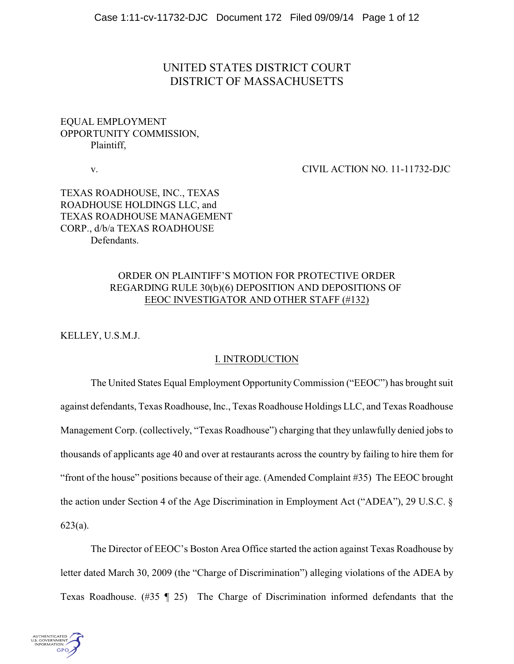# UNITED STATES DISTRICT COURT DISTRICT OF MASSACHUSETTS

# EQUAL EMPLOYMENT OPPORTUNITY COMMISSION, Plaintiff,

v. CIVIL ACTION NO. 11-11732-DJC

# TEXAS ROADHOUSE, INC., TEXAS ROADHOUSE HOLDINGS LLC, and TEXAS ROADHOUSE MANAGEMENT CORP., d/b/a TEXAS ROADHOUSE Defendants.

# ORDER ON PLAINTIFF'S MOTION FOR PROTECTIVE ORDER REGARDING RULE 30(b)(6) DEPOSITION AND DEPOSITIONS OF EEOC INVESTIGATOR AND OTHER STAFF (#132)

KELLEY, U.S.M.J.

### I. INTRODUCTION

The United States Equal Employment Opportunity Commission ("EEOC") has brought suit against defendants, Texas Roadhouse, Inc., Texas Roadhouse Holdings LLC, and Texas Roadhouse Management Corp. (collectively, "Texas Roadhouse") charging that they unlawfully denied jobs to thousands of applicants age 40 and over at restaurants across the country by failing to hire them for "front of the house" positions because of their age. (Amended Complaint #35) The EEOC brought the action under Section 4 of the Age Discrimination in Employment Act ("ADEA"), 29 U.S.C. § 623(a).

The Director of EEOC's Boston Area Office started the action against Texas Roadhouse by letter dated March 30, 2009 (the "Charge of Discrimination") alleging violations of the ADEA by Texas Roadhouse. (#35 ¶ 25) The Charge of Discrimination informed defendants that the

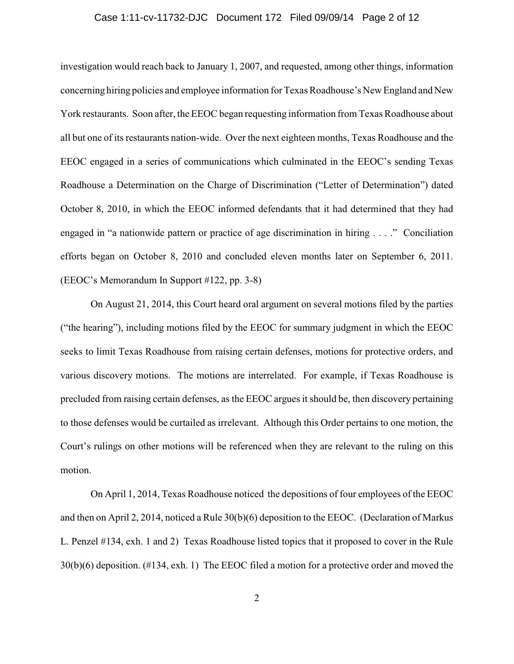#### Case 1:11-cv-11732-DJC Document 172 Filed 09/09/14 Page 2 of 12

investigation would reach back to January 1, 2007, and requested, among other things, information concerning hiring policies and employee information for Texas Roadhouse's New England and New York restaurants. Soon after, the EEOC began requesting information from Texas Roadhouse about all but one of its restaurants nation-wide. Over the next eighteen months, Texas Roadhouse and the EEOC engaged in a series of communications which culminated in the EEOC's sending Texas Roadhouse a Determination on the Charge of Discrimination ("Letter of Determination") dated October 8, 2010, in which the EEOC informed defendants that it had determined that they had engaged in "a nationwide pattern or practice of age discrimination in hiring . . . ." Conciliation efforts began on October 8, 2010 and concluded eleven months later on September 6, 2011. (EEOC's Memorandum In Support #122, pp. 3-8)

On August 21, 2014, this Court heard oral argument on several motions filed by the parties ("the hearing"), including motions filed by the EEOC for summary judgment in which the EEOC seeks to limit Texas Roadhouse from raising certain defenses, motions for protective orders, and various discovery motions. The motions are interrelated. For example, if Texas Roadhouse is precluded from raising certain defenses, as the EEOC argues it should be, then discovery pertaining to those defenses would be curtailed as irrelevant. Although this Order pertains to one motion, the Court's rulings on other motions will be referenced when they are relevant to the ruling on this motion.

On April 1, 2014, Texas Roadhouse noticed the depositions of four employees of the EEOC and then on April 2, 2014, noticed a Rule 30(b)(6) deposition to the EEOC. (Declaration of Markus L. Penzel #134, exh. 1 and 2) Texas Roadhouse listed topics that it proposed to cover in the Rule 30(b)(6) deposition. (#134, exh. 1) The EEOC filed a motion for a protective order and moved the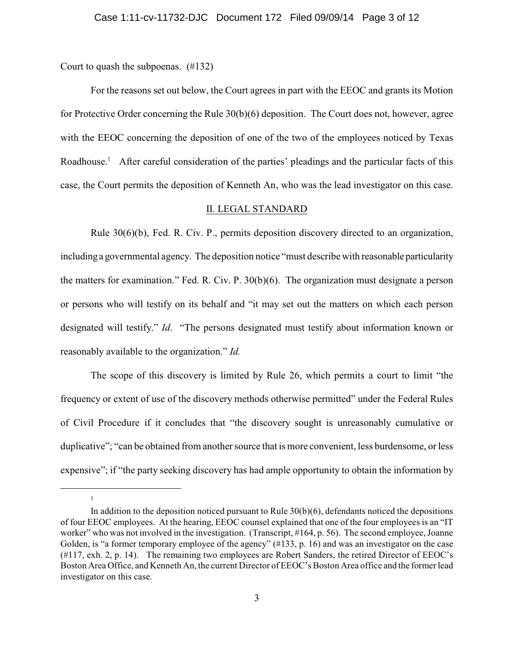Court to quash the subpoenas. (#132)

1

For the reasons set out below, the Court agrees in part with the EEOC and grants its Motion for Protective Order concerning the Rule 30(b)(6) deposition. The Court does not, however, agree with the EEOC concerning the deposition of one of the two of the employees noticed by Texas Roadhouse.<sup>1</sup> After careful consideration of the parties' pleadings and the particular facts of this case, the Court permits the deposition of Kenneth An, who was the lead investigator on this case.

### II. LEGAL STANDARD

Rule 30(6)(b), Fed. R. Civ. P., permits deposition discovery directed to an organization, including a governmental agency. The deposition notice "must describe with reasonable particularity the matters for examination." Fed. R. Civ. P. 30(b)(6). The organization must designate a person or persons who will testify on its behalf and "it may set out the matters on which each person designated will testify." *Id*. "The persons designated must testify about information known or reasonably available to the organization." *Id.* 

The scope of this discovery is limited by Rule 26, which permits a court to limit "the frequency or extent of use of the discovery methods otherwise permitted" under the Federal Rules of Civil Procedure if it concludes that "the discovery sought is unreasonably cumulative or duplicative"; "can be obtained from another source that is more convenient, less burdensome, or less expensive"; if "the party seeking discovery has had ample opportunity to obtain the information by

In addition to the deposition noticed pursuant to Rule  $30(b)(6)$ , defendants noticed the depositions of four EEOC employees. At the hearing, EEOC counsel explained that one of the four employees is an "IT worker" who was not involved in the investigation. (Transcript, #164, p. 56). The second employee, Joanne Golden, is "a former temporary employee of the agency" (#133, p. 16) and was an investigator on the case (#117, exh. 2, p. 14). The remaining two employees are Robert Sanders, the retired Director of EEOC's Boston Area Office, and Kenneth An, the current Director of EEOC's Boston Area office and the former lead investigator on this case.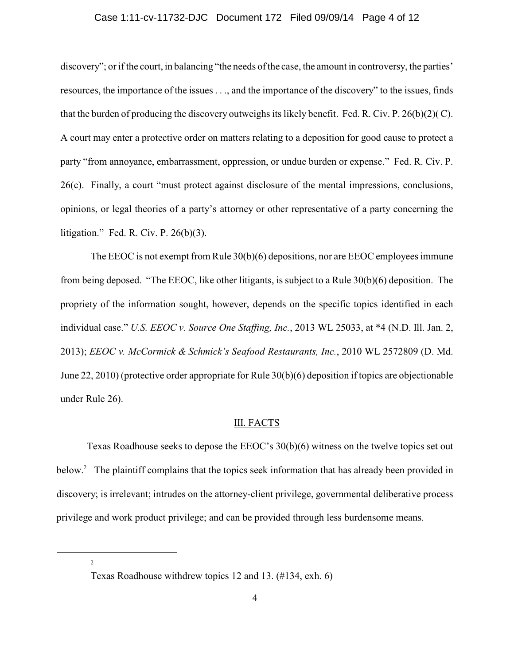#### Case 1:11-cv-11732-DJC Document 172 Filed 09/09/14 Page 4 of 12

discovery"; or if the court, in balancing "the needs of the case, the amount in controversy, the parties' resources, the importance of the issues . . ., and the importance of the discovery" to the issues, finds that the burden of producing the discovery outweighs its likely benefit. Fed. R. Civ. P. 26(b)(2)( C). A court may enter a protective order on matters relating to a deposition for good cause to protect a party "from annoyance, embarrassment, oppression, or undue burden or expense." Fed. R. Civ. P. 26(c). Finally, a court "must protect against disclosure of the mental impressions, conclusions, opinions, or legal theories of a party's attorney or other representative of a party concerning the litigation." Fed. R. Civ. P. 26(b)(3).

The EEOC is not exempt from Rule  $30(b)(6)$  depositions, nor are EEOC employees immune from being deposed. "The EEOC, like other litigants, is subject to a Rule 30(b)(6) deposition. The propriety of the information sought, however, depends on the specific topics identified in each individual case." *U.S. EEOC v. Source One Staffing, Inc.*, 2013 WL 25033, at \*4 (N.D. Ill. Jan. 2, 2013); *EEOC v. McCormick & Schmick's Seafood Restaurants, Inc.*, 2010 WL 2572809 (D. Md. June 22, 2010) (protective order appropriate for Rule 30(b)(6) deposition if topics are objectionable under Rule 26).

#### III. FACTS

Texas Roadhouse seeks to depose the EEOC's 30(b)(6) witness on the twelve topics set out below. $^2$  The plaintiff complains that the topics seek information that has already been provided in discovery; is irrelevant; intrudes on the attorney-client privilege, governmental deliberative process privilege and work product privilege; and can be provided through less burdensome means.

2

Texas Roadhouse withdrew topics 12 and 13. (#134, exh. 6)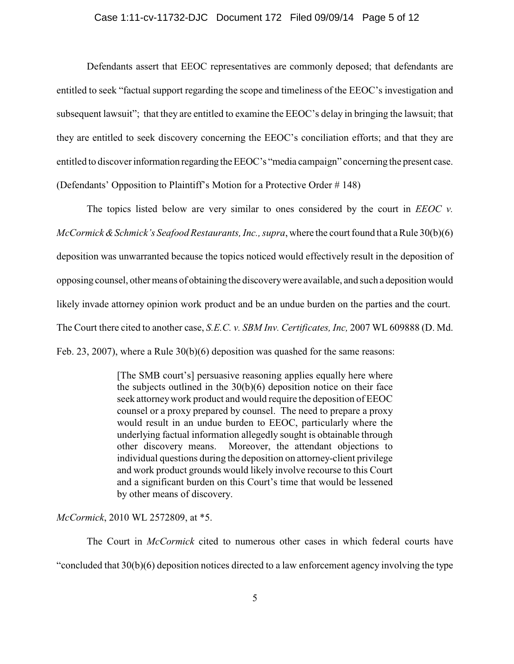Defendants assert that EEOC representatives are commonly deposed; that defendants are entitled to seek "factual support regarding the scope and timeliness of the EEOC's investigation and subsequent lawsuit"; that they are entitled to examine the EEOC's delay in bringing the lawsuit; that they are entitled to seek discovery concerning the EEOC's conciliation efforts; and that they are entitled to discover information regarding the EEOC's "media campaign" concerning the present case. (Defendants' Opposition to Plaintiff's Motion for a Protective Order # 148)

The topics listed below are very similar to ones considered by the court in *EEOC v. McCormick & Schmick's Seafood Restaurants, Inc., supra, where the court found that a Rule 30(b)(6)* deposition was unwarranted because the topics noticed would effectively result in the deposition of opposing counsel, other means of obtaining the discovery were available, and such a deposition would likely invade attorney opinion work product and be an undue burden on the parties and the court. The Court there cited to another case, *S.E.C. v. SBM Inv. Certificates, Inc,* 2007 WL 609888 (D. Md. Feb. 23, 2007), where a Rule  $30(b)(6)$  deposition was quashed for the same reasons:

> [The SMB court's] persuasive reasoning applies equally here where the subjects outlined in the  $30(b)(6)$  deposition notice on their face seek attorneywork product and would require the deposition of EEOC counsel or a proxy prepared by counsel. The need to prepare a proxy would result in an undue burden to EEOC, particularly where the underlying factual information allegedly sought is obtainable through other discovery means. Moreover, the attendant objections to individual questions during the deposition on attorney-client privilege and work product grounds would likely involve recourse to this Court and a significant burden on this Court's time that would be lessened by other means of discovery.

*McCormick*, 2010 WL 2572809, at \*5.

The Court in *McCormick* cited to numerous other cases in which federal courts have "concluded that 30(b)(6) deposition notices directed to a law enforcement agency involving the type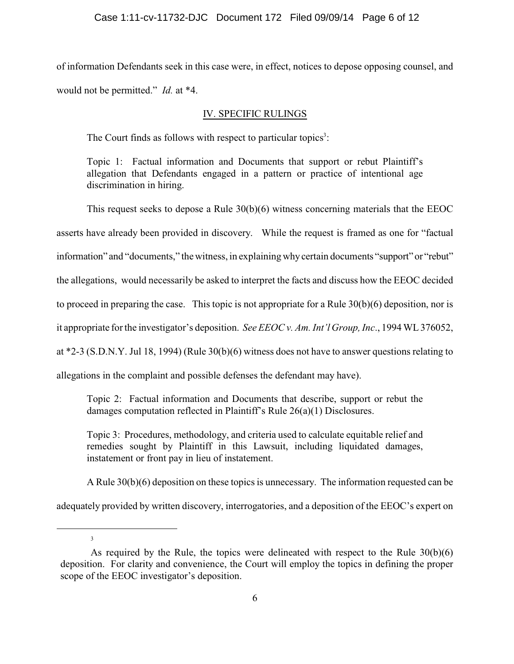of information Defendants seek in this case were, in effect, notices to depose opposing counsel, and would not be permitted." *Id.* at \*4.

### IV. SPECIFIC RULINGS

The Court finds as follows with respect to particular topics<sup>3</sup>:

Topic 1: Factual information and Documents that support or rebut Plaintiff's allegation that Defendants engaged in a pattern or practice of intentional age discrimination in hiring.

This request seeks to depose a Rule 30(b)(6) witness concerning materials that the EEOC asserts have already been provided in discovery. While the request is framed as one for "factual information" and "documents," the witness, in explaining why certain documents "support" or "rebut" the allegations, would necessarily be asked to interpret the facts and discuss how the EEOC decided to proceed in preparing the case. This topic is not appropriate for a Rule 30(b)(6) deposition, nor is it appropriate for the investigator's deposition. *See EEOC v. Am. Int'l Group, Inc*., 1994 WL 376052, at \*2-3 (S.D.N.Y. Jul 18, 1994) (Rule 30(b)(6) witness does not have to answer questions relating to

allegations in the complaint and possible defenses the defendant may have).

Topic 2: Factual information and Documents that describe, support or rebut the damages computation reflected in Plaintiff's Rule 26(a)(1) Disclosures.

Topic 3: Procedures, methodology, and criteria used to calculate equitable relief and remedies sought by Plaintiff in this Lawsuit, including liquidated damages, instatement or front pay in lieu of instatement.

A Rule 30(b)(6) deposition on these topics is unnecessary. The information requested can be

adequately provided by written discovery, interrogatories, and a deposition of the EEOC's expert on

3

As required by the Rule, the topics were delineated with respect to the Rule 30(b)(6) deposition. For clarity and convenience, the Court will employ the topics in defining the proper scope of the EEOC investigator's deposition.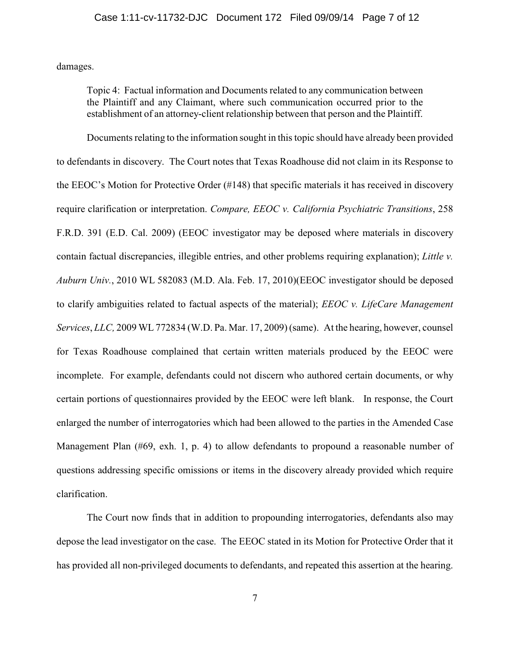damages.

Topic 4: Factual information and Documents related to any communication between the Plaintiff and any Claimant, where such communication occurred prior to the establishment of an attorney-client relationship between that person and the Plaintiff.

Documents relating to the information sought in this topic should have already been provided to defendants in discovery. The Court notes that Texas Roadhouse did not claim in its Response to the EEOC's Motion for Protective Order (#148) that specific materials it has received in discovery require clarification or interpretation. *Compare, EEOC v. California Psychiatric Transitions*, 258 F.R.D. 391 (E.D. Cal. 2009) (EEOC investigator may be deposed where materials in discovery contain factual discrepancies, illegible entries, and other problems requiring explanation); *Little v. Auburn Univ.*, 2010 WL 582083 (M.D. Ala. Feb. 17, 2010)(EEOC investigator should be deposed to clarify ambiguities related to factual aspects of the material); *EEOC v. LifeCare Management Services*, *LLC,* 2009 WL 772834 (W.D. Pa. Mar. 17, 2009) (same). At the hearing, however, counsel for Texas Roadhouse complained that certain written materials produced by the EEOC were incomplete. For example, defendants could not discern who authored certain documents, or why certain portions of questionnaires provided by the EEOC were left blank. In response, the Court enlarged the number of interrogatories which had been allowed to the parties in the Amended Case Management Plan (#69, exh. 1, p. 4) to allow defendants to propound a reasonable number of questions addressing specific omissions or items in the discovery already provided which require clarification.

The Court now finds that in addition to propounding interrogatories, defendants also may depose the lead investigator on the case. The EEOC stated in its Motion for Protective Order that it has provided all non-privileged documents to defendants, and repeated this assertion at the hearing.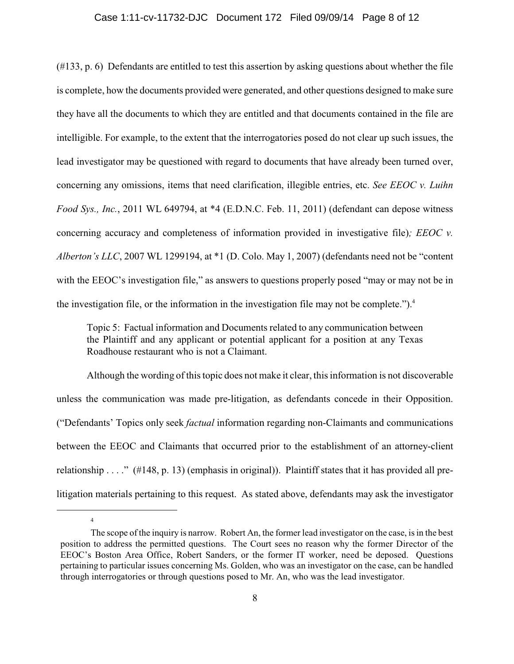#### Case 1:11-cv-11732-DJC Document 172 Filed 09/09/14 Page 8 of 12

(#133, p. 6) Defendants are entitled to test this assertion by asking questions about whether the file is complete, how the documents provided were generated, and other questions designed to make sure they have all the documents to which they are entitled and that documents contained in the file are intelligible. For example, to the extent that the interrogatories posed do not clear up such issues, the lead investigator may be questioned with regard to documents that have already been turned over, concerning any omissions, items that need clarification, illegible entries, etc. *See EEOC v. Luihn Food Sys., Inc.*, 2011 WL 649794, at \*4 (E.D.N.C. Feb. 11, 2011) (defendant can depose witness concerning accuracy and completeness of information provided in investigative file)*; EEOC v. Alberton's LLC*, 2007 WL 1299194, at \*1 (D. Colo. May 1, 2007) (defendants need not be "content with the EEOC's investigation file," as answers to questions properly posed "may or may not be in the investigation file, or the information in the investigation file may not be complete.").<sup>4</sup>

Topic 5: Factual information and Documents related to any communication between the Plaintiff and any applicant or potential applicant for a position at any Texas Roadhouse restaurant who is not a Claimant.

Although the wording of this topic does not make it clear, this information is not discoverable unless the communication was made pre-litigation, as defendants concede in their Opposition. ("Defendants' Topics only seek *factual* information regarding non-Claimants and communications between the EEOC and Claimants that occurred prior to the establishment of an attorney-client relationship . . . ." (#148, p. 13) (emphasis in original)). Plaintiff states that it has provided all prelitigation materials pertaining to this request. As stated above, defendants may ask the investigator

4

The scope of the inquiry is narrow. Robert An, the former lead investigator on the case, is in the best position to address the permitted questions. The Court sees no reason why the former Director of the EEOC's Boston Area Office, Robert Sanders, or the former IT worker, need be deposed. Questions pertaining to particular issues concerning Ms. Golden, who was an investigator on the case, can be handled through interrogatories or through questions posed to Mr. An, who was the lead investigator.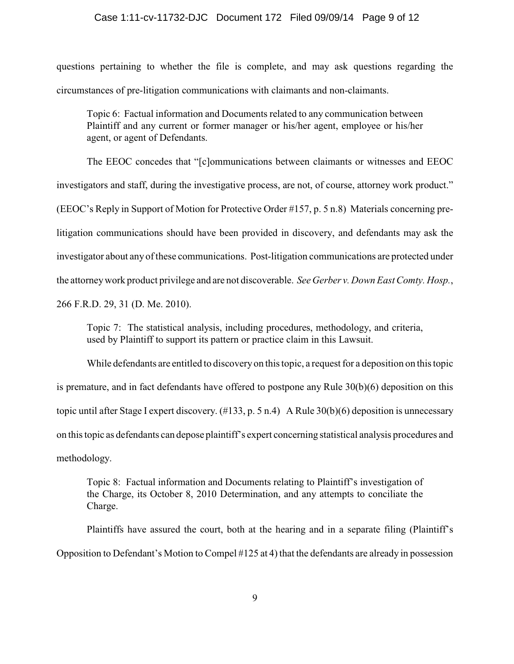#### Case 1:11-cv-11732-DJC Document 172 Filed 09/09/14 Page 9 of 12

questions pertaining to whether the file is complete, and may ask questions regarding the circumstances of pre-litigation communications with claimants and non-claimants.

Topic 6: Factual information and Documents related to any communication between Plaintiff and any current or former manager or his/her agent, employee or his/her agent, or agent of Defendants.

The EEOC concedes that "[c]ommunications between claimants or witnesses and EEOC investigators and staff, during the investigative process, are not, of course, attorney work product." (EEOC's Reply in Support of Motion for Protective Order #157, p. 5 n.8) Materials concerning prelitigation communications should have been provided in discovery, and defendants may ask the investigator about any of these communications. Post-litigation communications are protected under the attorneywork product privilege and are not discoverable. *See Gerber v. Down East Comty. Hosp.*, 266 F.R.D. 29, 31 (D. Me. 2010).

Topic 7: The statistical analysis, including procedures, methodology, and criteria, used by Plaintiff to support its pattern or practice claim in this Lawsuit.

While defendants are entitled to discoveryon this topic, a request for a deposition on this topic is premature, and in fact defendants have offered to postpone any Rule 30(b)(6) deposition on this topic until after Stage I expert discovery. (#133, p. 5 n.4) A Rule 30(b)(6) deposition is unnecessary on this topic as defendants can depose plaintiff's expert concerning statistical analysis procedures and methodology.

Topic 8: Factual information and Documents relating to Plaintiff's investigation of the Charge, its October 8, 2010 Determination, and any attempts to conciliate the Charge.

Plaintiffs have assured the court, both at the hearing and in a separate filing (Plaintiff's Opposition to Defendant's Motion to Compel #125 at 4) that the defendants are already in possession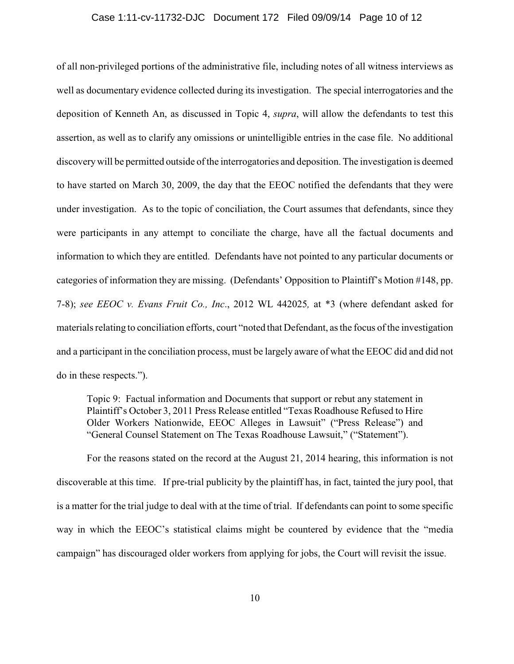#### Case 1:11-cv-11732-DJC Document 172 Filed 09/09/14 Page 10 of 12

of all non-privileged portions of the administrative file, including notes of all witness interviews as well as documentary evidence collected during its investigation. The special interrogatories and the deposition of Kenneth An, as discussed in Topic 4, *supra*, will allow the defendants to test this assertion, as well as to clarify any omissions or unintelligible entries in the case file. No additional discoverywill be permitted outside of the interrogatories and deposition. The investigation is deemed to have started on March 30, 2009, the day that the EEOC notified the defendants that they were under investigation. As to the topic of conciliation, the Court assumes that defendants, since they were participants in any attempt to conciliate the charge, have all the factual documents and information to which they are entitled. Defendants have not pointed to any particular documents or categories of information they are missing. (Defendants' Opposition to Plaintiff's Motion #148, pp. 7-8); *see EEOC v. Evans Fruit Co., Inc*., 2012 WL 442025*,* at \*3 (where defendant asked for materials relating to conciliation efforts, court "noted that Defendant, as the focus of the investigation and a participant in the conciliation process, must be largely aware of what the EEOC did and did not do in these respects.").

Topic 9: Factual information and Documents that support or rebut any statement in Plaintiff's October 3, 2011 Press Release entitled "Texas Roadhouse Refused to Hire Older Workers Nationwide, EEOC Alleges in Lawsuit" ("Press Release") and "General Counsel Statement on The Texas Roadhouse Lawsuit," ("Statement").

For the reasons stated on the record at the August 21, 2014 hearing, this information is not discoverable at this time. If pre-trial publicity by the plaintiff has, in fact, tainted the jury pool, that is a matter for the trial judge to deal with at the time of trial. If defendants can point to some specific way in which the EEOC's statistical claims might be countered by evidence that the "media campaign" has discouraged older workers from applying for jobs, the Court will revisit the issue.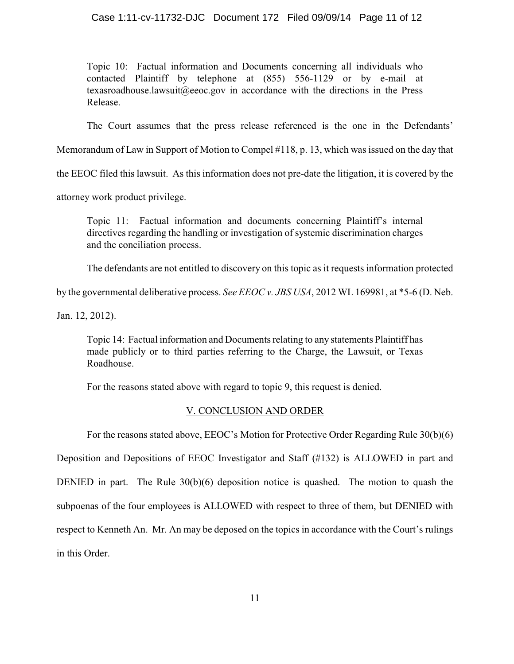Topic 10: Factual information and Documents concerning all individuals who contacted Plaintiff by telephone at (855) 556-1129 or by e-mail at texasroadhouse.lawsuit@eeoc.gov in accordance with the directions in the Press Release.

The Court assumes that the press release referenced is the one in the Defendants'

Memorandum of Law in Support of Motion to Compel #118, p. 13, which was issued on the day that

the EEOC filed this lawsuit. As this information does not pre-date the litigation, it is covered by the

attorney work product privilege.

Topic 11: Factual information and documents concerning Plaintiff's internal directives regarding the handling or investigation of systemic discrimination charges and the conciliation process.

The defendants are not entitled to discovery on this topic as it requests information protected

by the governmental deliberative process. *See EEOC v. JBS USA*, 2012 WL 169981, at \*5-6 (D. Neb.

Jan. 12, 2012).

Topic 14: Factual information and Documents relating to any statements Plaintiff has made publicly or to third parties referring to the Charge, the Lawsuit, or Texas Roadhouse.

For the reasons stated above with regard to topic 9, this request is denied.

### V. CONCLUSION AND ORDER

For the reasons stated above, EEOC's Motion for Protective Order Regarding Rule 30(b)(6)

Deposition and Depositions of EEOC Investigator and Staff (#132) is ALLOWED in part and DENIED in part. The Rule 30(b)(6) deposition notice is quashed. The motion to quash the subpoenas of the four employees is ALLOWED with respect to three of them, but DENIED with respect to Kenneth An. Mr. An may be deposed on the topics in accordance with the Court's rulings in this Order.